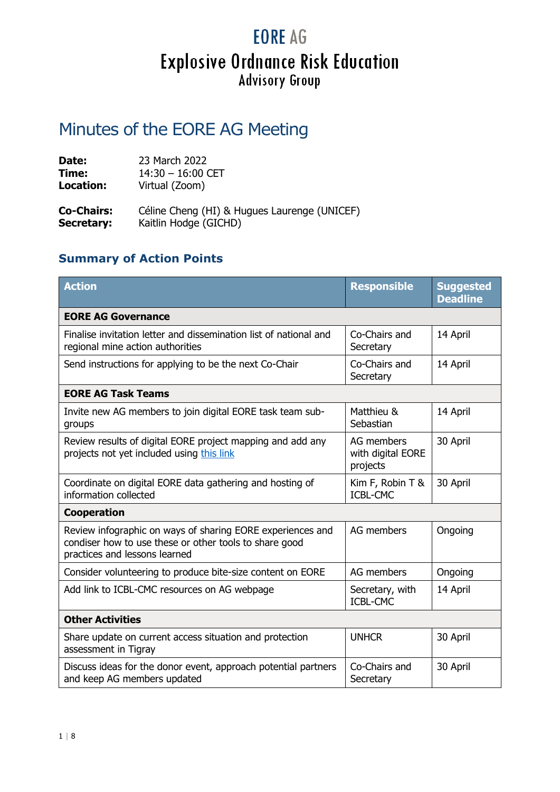# **EORE AG Explosive Ordnance Risk Education**<br>Advisory Group

# Minutes of the EORE AG Meeting

| Date:                                  | 23 March 2022                                                         |
|----------------------------------------|-----------------------------------------------------------------------|
| Time:                                  | $14:30 - 16:00$ CET                                                   |
| Location:                              | Virtual (Zoom)                                                        |
| <b>Co-Chairs:</b><br><b>Secretary:</b> | Céline Cheng (HI) & Hugues Laurenge (UNICEF)<br>Kaitlin Hodge (GICHD) |

# **Summary of Action Points**

| <b>Action</b>                                                                                                                                         | <b>Responsible</b>                          | <b>Suggested</b><br><b>Deadline</b> |  |
|-------------------------------------------------------------------------------------------------------------------------------------------------------|---------------------------------------------|-------------------------------------|--|
| <b>EORE AG Governance</b>                                                                                                                             |                                             |                                     |  |
| Finalise invitation letter and dissemination list of national and<br>regional mine action authorities                                                 | Co-Chairs and<br>Secretary                  | 14 April                            |  |
| Send instructions for applying to be the next Co-Chair                                                                                                | Co-Chairs and<br>Secretary                  | 14 April                            |  |
| <b>EORE AG Task Teams</b>                                                                                                                             |                                             |                                     |  |
| Invite new AG members to join digital EORE task team sub-<br>groups                                                                                   | Matthieu &<br>Sebastian                     | 14 April                            |  |
| Review results of digital EORE project mapping and add any<br>projects not yet included using this link                                               | AG members<br>with digital EORE<br>projects | 30 April                            |  |
| Coordinate on digital EORE data gathering and hosting of<br>information collected                                                                     | Kim F, Robin T &<br><b>ICBL-CMC</b>         | 30 April                            |  |
| <b>Cooperation</b>                                                                                                                                    |                                             |                                     |  |
| Review infographic on ways of sharing EORE experiences and<br>condiser how to use these or other tools to share good<br>practices and lessons learned | AG members                                  | Ongoing                             |  |
| Consider volunteering to produce bite-size content on EORE                                                                                            | AG members                                  | Ongoing                             |  |
| Add link to ICBL-CMC resources on AG webpage                                                                                                          | Secretary, with<br><b>ICBL-CMC</b>          | 14 April                            |  |
| <b>Other Activities</b>                                                                                                                               |                                             |                                     |  |
| Share update on current access situation and protection<br>assessment in Tigray                                                                       | <b>UNHCR</b>                                | 30 April                            |  |
| Discuss ideas for the donor event, approach potential partners<br>and keep AG members updated                                                         | Co-Chairs and<br>Secretary                  | 30 April                            |  |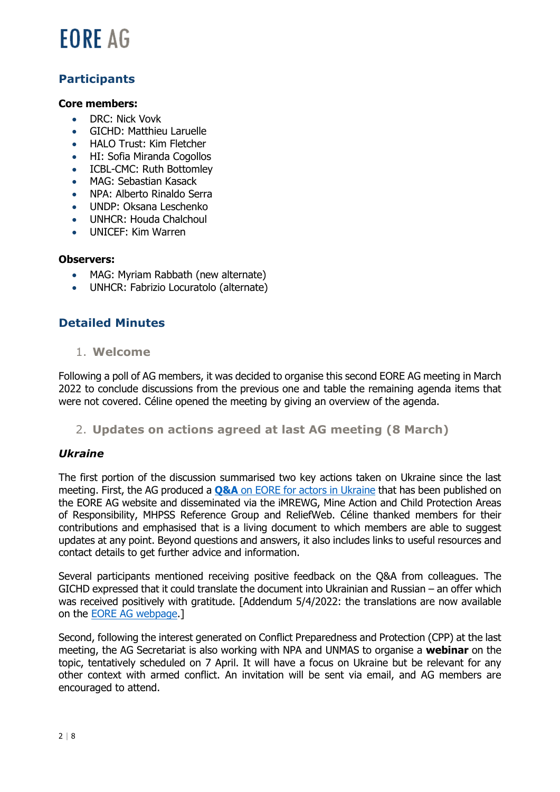# **FORE AG**

# **Participants**

#### **Core members:**

- DRC: Nick Vovk
- GICHD: Matthieu Laruelle
- HALO Trust: Kim Fletcher
- HI: Sofia Miranda Cogollos
- ICBL-CMC: Ruth Bottomley
- MAG: Sebastian Kasack
- NPA: Alberto Rinaldo Serra
- UNDP: Oksana Leschenko
- UNHCR: Houda Chalchoul
- UNICEF: Kim Warren

#### **Observers:**

- MAG: Myriam Rabbath (new alternate)
- UNHCR: Fabrizio Locuratolo (alternate)

## **Detailed Minutes**

1. **Welcome**

Following a poll of AG members, it was decided to organise this second EORE AG meeting in March 2022 to conclude discussions from the previous one and table the remaining agenda items that were not covered. Céline opened the meeting by giving an overview of the agenda.

#### 2. **Updates on actions agreed at last AG meeting (8 March)**

#### *Ukraine*

The first portion of the discussion summarised two key actions taken on Ukraine since the last meeting. First, the AG produced a **Q&A** [on EORE for actors in Ukraine](https://unicef-my.sharepoint.com/:w:/g/personal/hlaurenge_unicef_org1/EZmazx7APO9CqHAMavj7sOUBc3hNry7DMurX5SKEC3rySw?e=BYuaW8) that has been published on the EORE AG website and disseminated via the iMREWG, Mine Action and Child Protection Areas of Responsibility, MHPSS Reference Group and ReliefWeb. Céline thanked members for their contributions and emphasised that is a living document to which members are able to suggest updates at any point. Beyond questions and answers, it also includes links to useful resources and contact details to get further advice and information.

Several participants mentioned receiving positive feedback on the Q&A from colleagues. The GICHD expressed that it could translate the document into Ukrainian and Russian – an offer which was received positively with gratitude. [Addendum 5/4/2022: the translations are now available on the [EORE AG webpage.](https://www.gichd.org/en/our-response/explosive-ordnance-risk-education/advisory-group/)]

Second, following the interest generated on Conflict Preparedness and Protection (CPP) at the last meeting, the AG Secretariat is also working with NPA and UNMAS to organise a **webinar** on the topic, tentatively scheduled on 7 April. It will have a focus on Ukraine but be relevant for any other context with armed conflict. An invitation will be sent via email, and AG members are encouraged to attend.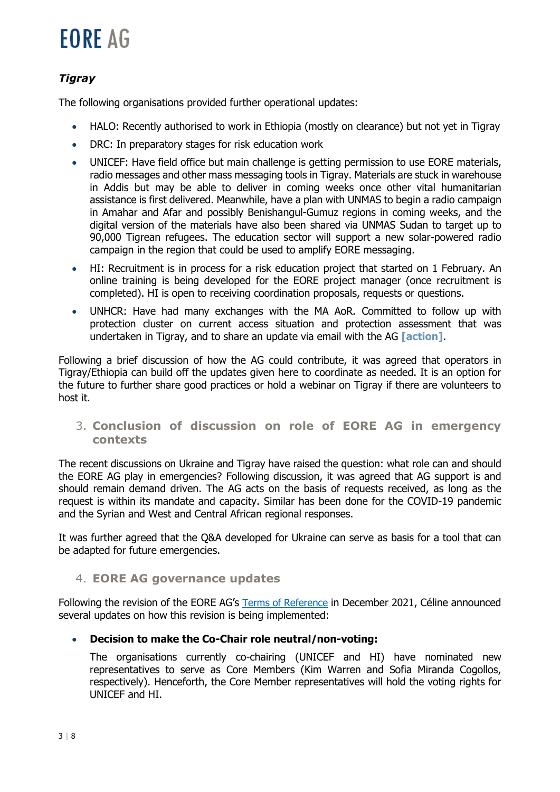# **EORE AG**

### *Tigray*

The following organisations provided further operational updates:

- HALO: Recently authorised to work in Ethiopia (mostly on clearance) but not yet in Tigray
- DRC: In preparatory stages for risk education work
- UNICEF: Have field office but main challenge is getting permission to use EORE materials, radio messages and other mass messaging tools in Tigray. Materials are stuck in warehouse in Addis but may be able to deliver in coming weeks once other vital humanitarian assistance is first delivered. Meanwhile, have a plan with UNMAS to begin a radio campaign in Amahar and Afar and possibly Benishangul-Gumuz regions in coming weeks, and the digital version of the materials have also been shared via UNMAS Sudan to target up to 90,000 Tigrean refugees. The education sector will support a new solar-powered radio campaign in the region that could be used to amplify EORE messaging.
- HI: Recruitment is in process for a risk education project that started on 1 February. An online training is being developed for the EORE project manager (once recruitment is completed). HI is open to receiving coordination proposals, requests or questions.
- UNHCR: Have had many exchanges with the MA AoR. Committed to follow up with protection cluster on current access situation and protection assessment that was undertaken in Tigray, and to share an update via email with the AG **[action]**.

Following a brief discussion of how the AG could contribute, it was agreed that operators in Tigray/Ethiopia can build off the updates given here to coordinate as needed. It is an option for the future to further share good practices or hold a webinar on Tigray if there are volunteers to host it.

3. **Conclusion of discussion on role of EORE AG in emergency contexts**

The recent discussions on Ukraine and Tigray have raised the question: what role can and should the EORE AG play in emergencies? Following discussion, it was agreed that AG support is and should remain demand driven. The AG acts on the basis of requests received, as long as the request is within its mandate and capacity. Similar has been done for the COVID-19 pandemic and the Syrian and West and Central African regional responses.

It was further agreed that the Q&A developed for Ukraine can serve as basis for a tool that can be adapted for future emergencies.

#### 4. **EORE AG governance updates**

Following the revision of the EORE AG's [Terms of Reference](https://www.gichd.org/fileadmin/GICHD-resources/info-documents/EORE_Advisory_Group/EORE_AG_TOR_Dec_2021.pdf) in December 2021, Céline announced several updates on how this revision is being implemented:

#### • **Decision to make the Co-Chair role neutral/non-voting:**

The organisations currently co-chairing (UNICEF and HI) have nominated new representatives to serve as Core Members (Kim Warren and Sofia Miranda Cogollos, respectively). Henceforth, the Core Member representatives will hold the voting rights for UNICEF and HI.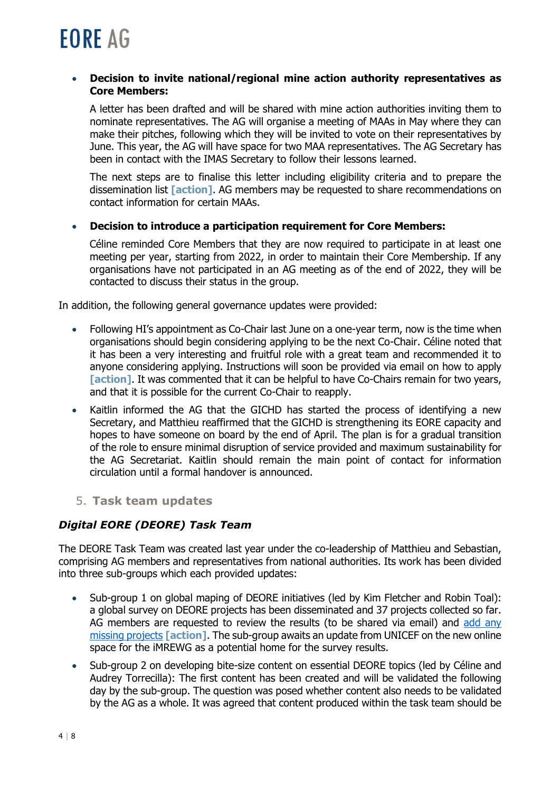#### • **Decision to invite national/regional mine action authority representatives as Core Members:**

A letter has been drafted and will be shared with mine action authorities inviting them to nominate representatives. The AG will organise a meeting of MAAs in May where they can make their pitches, following which they will be invited to vote on their representatives by June. This year, the AG will have space for two MAA representatives. The AG Secretary has been in contact with the IMAS Secretary to follow their lessons learned.

The next steps are to finalise this letter including eligibility criteria and to prepare the dissemination list **[action]**. AG members may be requested to share recommendations on contact information for certain MAAs.

#### • **Decision to introduce a participation requirement for Core Members:**

Céline reminded Core Members that they are now required to participate in at least one meeting per year, starting from 2022, in order to maintain their Core Membership. If any organisations have not participated in an AG meeting as of the end of 2022, they will be contacted to discuss their status in the group.

In addition, the following general governance updates were provided:

- Following HI's appointment as Co-Chair last June on a one-year term, now is the time when organisations should begin considering applying to be the next Co-Chair. Céline noted that it has been a very interesting and fruitful role with a great team and recommended it to anyone considering applying. Instructions will soon be provided via email on how to apply **[action].** It was commented that it can be helpful to have Co-Chairs remain for two years, and that it is possible for the current Co-Chair to reapply.
- Kaitlin informed the AG that the GICHD has started the process of identifying a new Secretary, and Matthieu reaffirmed that the GICHD is strengthening its EORE capacity and hopes to have someone on board by the end of April. The plan is for a gradual transition of the role to ensure minimal disruption of service provided and maximum sustainability for the AG Secretariat. Kaitlin should remain the main point of contact for information circulation until a formal handover is announced.

### 5. **Task team updates**

### *Digital EORE (DEORE) Task Team*

The DEORE Task Team was created last year under the co-leadership of Matthieu and Sebastian, comprising AG members and representatives from national authorities. Its work has been divided into three sub-groups which each provided updates:

- Sub-group 1 on global maping of DEORE initiatives (led by Kim Fletcher and Robin Toal): a global survey on DEORE projects has been disseminated and 37 projects collected so far. AG members are requested to review the results (to be shared via email) and [add any](https://bit.ly/DEORE_mapping)  [missing projects](https://bit.ly/DEORE_mapping) **[action]**. The sub-group awaits an update from UNICEF on the new online space for the iMREWG as a potential home for the survey results.
- Sub-group 2 on developing bite-size content on essential DEORE topics (led by Céline and Audrey Torrecilla): The first content has been created and will be validated the following day by the sub-group. The question was posed whether content also needs to be validated by the AG as a whole. It was agreed that content produced within the task team should be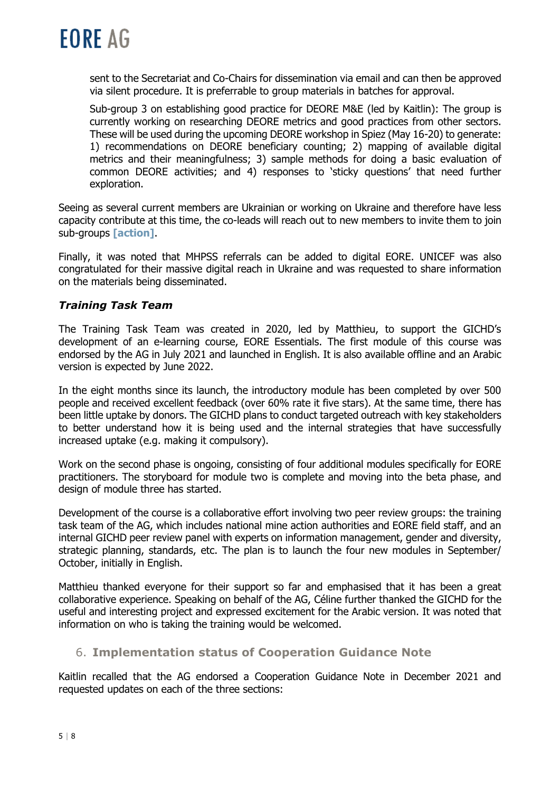

sent to the Secretariat and Co-Chairs for dissemination via email and can then be approved via silent procedure. It is preferrable to group materials in batches for approval.

Sub-group 3 on establishing good practice for DEORE M&E (led by Kaitlin): The group is currently working on researching DEORE metrics and good practices from other sectors. These will be used during the upcoming DEORE workshop in Spiez (May 16-20) to generate: 1) recommendations on DEORE beneficiary counting; 2) mapping of available digital metrics and their meaningfulness; 3) sample methods for doing a basic evaluation of common DEORE activities; and 4) responses to 'sticky questions' that need further exploration.

Seeing as several current members are Ukrainian or working on Ukraine and therefore have less capacity contribute at this time, the co-leads will reach out to new members to invite them to join sub-groups **[action]**.

Finally, it was noted that MHPSS referrals can be added to digital EORE. UNICEF was also congratulated for their massive digital reach in Ukraine and was requested to share information on the materials being disseminated.

#### *Training Task Team*

The Training Task Team was created in 2020, led by Matthieu, to support the GICHD's development of an e-learning course, EORE Essentials. The first module of this course was endorsed by the AG in July 2021 and launched in English. It is also available offline and an Arabic version is expected by June 2022.

In the eight months since its launch, the introductory module has been completed by over 500 people and received excellent feedback (over 60% rate it five stars). At the same time, there has been little uptake by donors. The GICHD plans to conduct targeted outreach with key stakeholders to better understand how it is being used and the internal strategies that have successfully increased uptake (e.g. making it compulsory).

Work on the second phase is ongoing, consisting of four additional modules specifically for EORE practitioners. The storyboard for module two is complete and moving into the beta phase, and design of module three has started.

Development of the course is a collaborative effort involving two peer review groups: the training task team of the AG, which includes national mine action authorities and EORE field staff, and an internal GICHD peer review panel with experts on information management, gender and diversity, strategic planning, standards, etc. The plan is to launch the four new modules in September/ October, initially in English.

Matthieu thanked everyone for their support so far and emphasised that it has been a great collaborative experience. Speaking on behalf of the AG, Céline further thanked the GICHD for the useful and interesting project and expressed excitement for the Arabic version. It was noted that information on who is taking the training would be welcomed.

#### 6. **Implementation status of Cooperation Guidance Note**

Kaitlin recalled that the AG endorsed a Cooperation Guidance Note in December 2021 and requested updates on each of the three sections: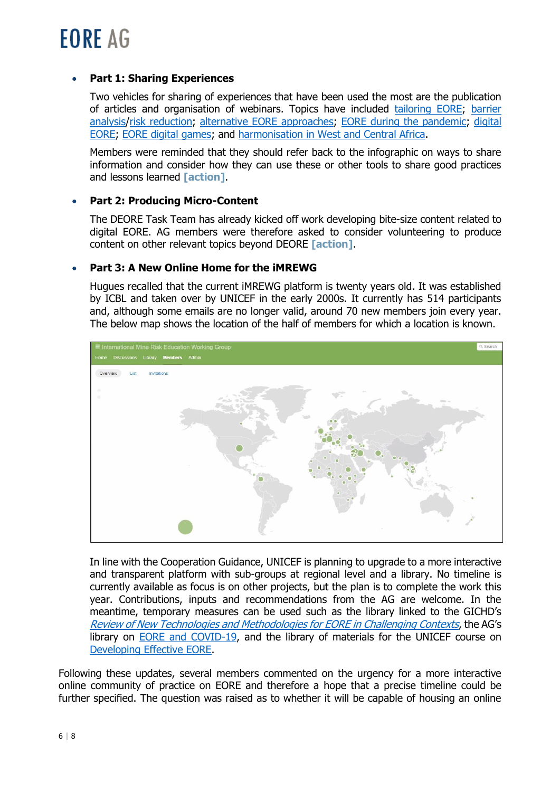

#### • **Part 1: Sharing Experiences**

Two vehicles for sharing of experiences that have been used the most are the publication of articles and organisation of webinars. Topics have included [tailoring EORE;](https://commons.lib.jmu.edu/cisr-journal/vol25/iss2/7) [barrier](https://commons.lib.jmu.edu/cisr-journal/vol25/iss2/8)  [analysis/](https://commons.lib.jmu.edu/cisr-journal/vol25/iss2/8)[risk reduction;](https://youtu.be/oOBJPfbEXeI) [alternative EORE approaches;](https://commons.lib.jmu.edu/cisr-journal/vol25/iss1/10) [EORE during the pandemic;](https://commons.lib.jmu.edu/cisr-journal/vol25/iss1/11) digital [EORE;](https://youtu.be/jBfIM77vHXo) [EORE digital games;](https://youtu.be/TObZUxcdf8k) and [harmonisation in West and Central Africa.](https://youtu.be/Ooc81Dulykk)

Members were reminded that they should refer back to the infographic on ways to share information and consider how they can use these or other tools to share good practices and lessons learned **[action]**.

#### • **Part 2: Producing Micro-Content**

The DEORE Task Team has already kicked off work developing bite-size content related to digital EORE. AG members were therefore asked to consider volunteering to produce content on other relevant topics beyond DEORE **[action]**.

#### • **Part 3: A New Online Home for the iMREWG**

Hugues recalled that the current iMREWG platform is twenty years old. It was established by ICBL and taken over by UNICEF in the early 2000s. It currently has 514 participants and, although some emails are no longer valid, around 70 new members join every year. The below map shows the location of the half of members for which a location is known.



In line with the Cooperation Guidance, UNICEF is planning to upgrade to a more interactive and transparent platform with sub-groups at regional level and a library. No timeline is currently available as focus is on other projects, but the plan is to complete the work this year. Contributions, inputs and recommendations from the AG are welcome. In the meantime, temporary measures can be used such as the library linked to the GICHD's [Review of New Technologies and Methodologies for EORE in Challenging Contexts](https://www.eore.org/resource-library/), the AG's library on [EORE and COVID-19,](https://unicef-my.sharepoint.com/:f:/g/personal/hlaurenge_unicef_org1/EqdE3V2BFFBOoGw0_o0CnxkBeXYBJuR9ZJELsaunKZfaLw?e=tLRGmR) and the library of materials for the UNICEF course on [Developing Effective EORE.](https://unicef-my.sharepoint.com/:f:/g/personal/hlaurenge_unicef_org1/Eiitt8u8yzxIlA8KB5OmxWgBJFUor1doFI2ZnZ0YyEE9tA?e=TuK63w)

Following these updates, several members commented on the urgency for a more interactive online community of practice on EORE and therefore a hope that a precise timeline could be further specified. The question was raised as to whether it will be capable of housing an online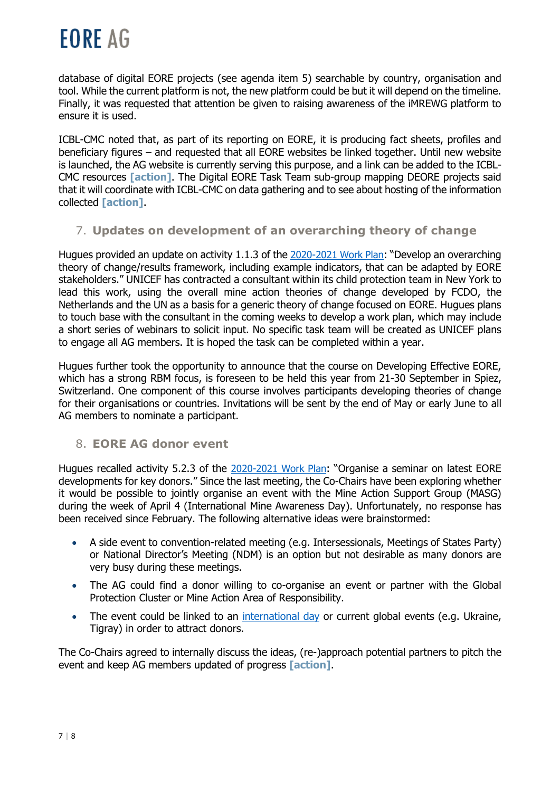

database of digital EORE projects (see agenda item 5) searchable by country, organisation and tool. While the current platform is not, the new platform could be but it will depend on the timeline. Finally, it was requested that attention be given to raising awareness of the iMREWG platform to ensure it is used.

ICBL-CMC noted that, as part of its reporting on EORE, it is producing fact sheets, profiles and beneficiary figures – and requested that all EORE websites be linked together. Until new website is launched, the AG website is currently serving this purpose, and a link can be added to the ICBL-CMC resources **[action]**. The Digital EORE Task Team sub-group mapping DEORE projects said that it will coordinate with ICBL-CMC on data gathering and to see about hosting of the information collected **[action]**.

#### 7. **Updates on development of an overarching theory of change**

Hugues provided an update on activity 1.1.3 of the [2020-2021 Work Plan](https://www.gichd.org/fileadmin/GICHD-resources/info-documents/EORE_Advisory_Group/EORE_AG_Workplan_2021-2022.pdf): "Develop an overarching theory of change/results framework, including example indicators, that can be adapted by EORE stakeholders." UNICEF has contracted a consultant within its child protection team in New York to lead this work, using the overall mine action theories of change developed by FCDO, the Netherlands and the UN as a basis for a generic theory of change focused on EORE. Hugues plans to touch base with the consultant in the coming weeks to develop a work plan, which may include a short series of webinars to solicit input. No specific task team will be created as UNICEF plans to engage all AG members. It is hoped the task can be completed within a year.

Hugues further took the opportunity to announce that the course on Developing Effective EORE, which has a strong RBM focus, is foreseen to be held this year from 21-30 September in Spiez, Switzerland. One component of this course involves participants developing theories of change for their organisations or countries. Invitations will be sent by the end of May or early June to all AG members to nominate a participant.

#### 8. **EORE AG donor event**

Hugues recalled activity 5.2.3 of the [2020-2021 Work Plan](https://www.gichd.org/fileadmin/GICHD-resources/info-documents/EORE_Advisory_Group/EORE_AG_Workplan_2021-2022.pdf): "Organise a seminar on latest EORE developments for key donors." Since the last meeting, the Co-Chairs have been exploring whether it would be possible to jointly organise an event with the Mine Action Support Group (MASG) during the week of April 4 (International Mine Awareness Day). Unfortunately, no response has been received since February. The following alternative ideas were brainstormed:

- A side event to convention-related meeting (e.g. Intersessionals, Meetings of States Party) or National Director's Meeting (NDM) is an option but not desirable as many donors are very busy during these meetings.
- The AG could find a donor willing to co-organise an event or partner with the Global Protection Cluster or Mine Action Area of Responsibility.
- The event could be linked to an [international day](https://www.un.org/en/observances/list-days-weeks) or current global events (e.g. Ukraine, Tigray) in order to attract donors.

The Co-Chairs agreed to internally discuss the ideas, (re-)approach potential partners to pitch the event and keep AG members updated of progress **[action]**.